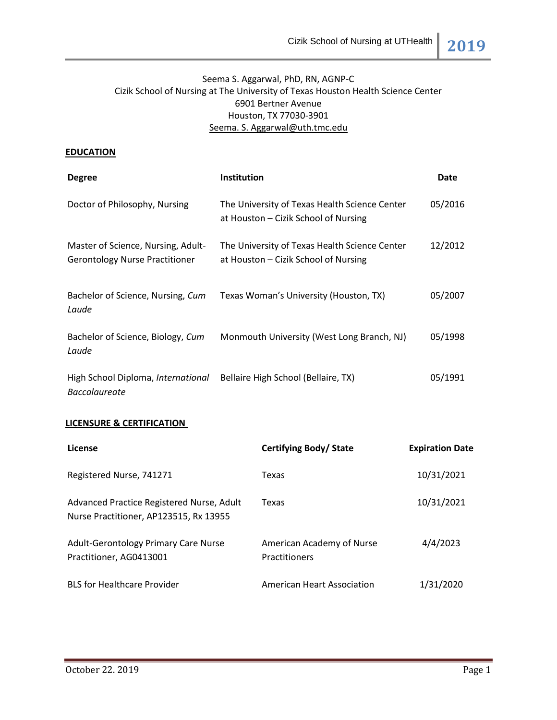# Seema S. Aggarwal, PhD, RN, AGNP-C Cizik School of Nursing at The University of Texas Houston Health Science Center 6901 Bertner Avenue Houston, TX 77030-3901 [Seema.](mailto:Christina.R.Nunez@uth.tmc.edu) S[. Aggarwal@uth.tmc.edu](mailto:Aggarwal@uth.tmc.edu)

### **EDUCATION**

| <b>Degree</b>                                                               | <b>Institution</b>                                                                    | <b>Date</b> |
|-----------------------------------------------------------------------------|---------------------------------------------------------------------------------------|-------------|
| Doctor of Philosophy, Nursing                                               | The University of Texas Health Science Center<br>at Houston – Cizik School of Nursing | 05/2016     |
| Master of Science, Nursing, Adult-<br><b>Gerontology Nurse Practitioner</b> | The University of Texas Health Science Center<br>at Houston – Cizik School of Nursing | 12/2012     |
| Bachelor of Science, Nursing, Cum<br>Laude                                  | Texas Woman's University (Houston, TX)                                                | 05/2007     |
| Bachelor of Science, Biology, Cum<br>Laude                                  | Monmouth University (West Long Branch, NJ)                                            | 05/1998     |
| High School Diploma, International<br><b>Baccalaureate</b>                  | Bellaire High School (Bellaire, TX)                                                   | 05/1991     |

## **LICENSURE & CERTIFICATION**

| License                                                                             | Certifying Body/State                             | <b>Expiration Date</b> |
|-------------------------------------------------------------------------------------|---------------------------------------------------|------------------------|
| Registered Nurse, 741271                                                            | Texas                                             | 10/31/2021             |
| Advanced Practice Registered Nurse, Adult<br>Nurse Practitioner, AP123515, Rx 13955 | Texas                                             | 10/31/2021             |
| <b>Adult-Gerontology Primary Care Nurse</b><br>Practitioner, AG0413001              | American Academy of Nurse<br><b>Practitioners</b> | 4/4/2023               |
| <b>BLS for Healthcare Provider</b>                                                  | American Heart Association                        | 1/31/2020              |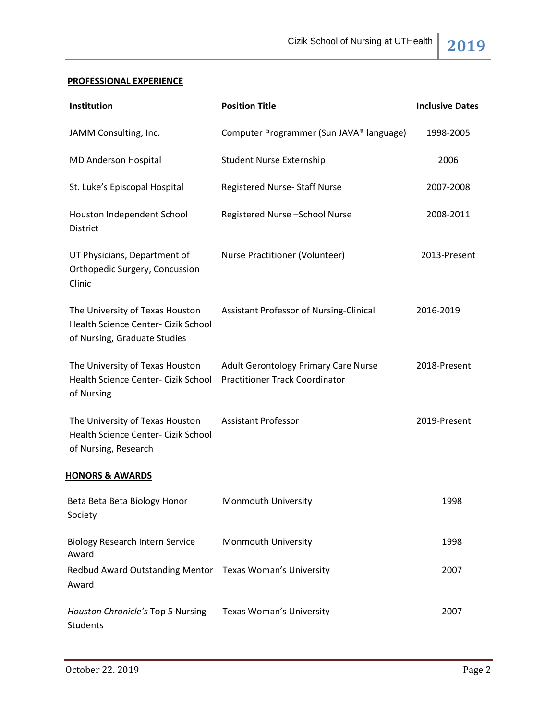# **PROFESSIONAL EXPERIENCE**

| Institution                                                                                            | <b>Position Title</b>                                                         | <b>Inclusive Dates</b> |
|--------------------------------------------------------------------------------------------------------|-------------------------------------------------------------------------------|------------------------|
| JAMM Consulting, Inc.                                                                                  | Computer Programmer (Sun JAVA® language)                                      | 1998-2005              |
| <b>MD Anderson Hospital</b>                                                                            | <b>Student Nurse Externship</b>                                               | 2006                   |
| St. Luke's Episcopal Hospital                                                                          | Registered Nurse- Staff Nurse                                                 | 2007-2008              |
| Houston Independent School<br><b>District</b>                                                          | Registered Nurse-School Nurse                                                 | 2008-2011              |
| UT Physicians, Department of<br>Orthopedic Surgery, Concussion<br>Clinic                               | Nurse Practitioner (Volunteer)                                                | 2013-Present           |
| The University of Texas Houston<br>Health Science Center- Cizik School<br>of Nursing, Graduate Studies | Assistant Professor of Nursing-Clinical                                       | 2016-2019              |
| The University of Texas Houston<br>Health Science Center- Cizik School<br>of Nursing                   | Adult Gerontology Primary Care Nurse<br><b>Practitioner Track Coordinator</b> | 2018-Present           |
| The University of Texas Houston<br>Health Science Center- Cizik School<br>of Nursing, Research         | <b>Assistant Professor</b>                                                    | 2019-Present           |
| <b>HONORS &amp; AWARDS</b>                                                                             |                                                                               |                        |
| Beta Beta Beta Biology Honor<br>Society                                                                | Monmouth University                                                           | 1998                   |
| <b>Biology Research Intern Service</b><br>Award                                                        | Monmouth University                                                           | 1998                   |
| Redbud Award Outstanding Mentor Texas Woman's University<br>Award                                      |                                                                               | 2007                   |
| Houston Chronicle's Top 5 Nursing<br>Students                                                          | <b>Texas Woman's University</b>                                               | 2007                   |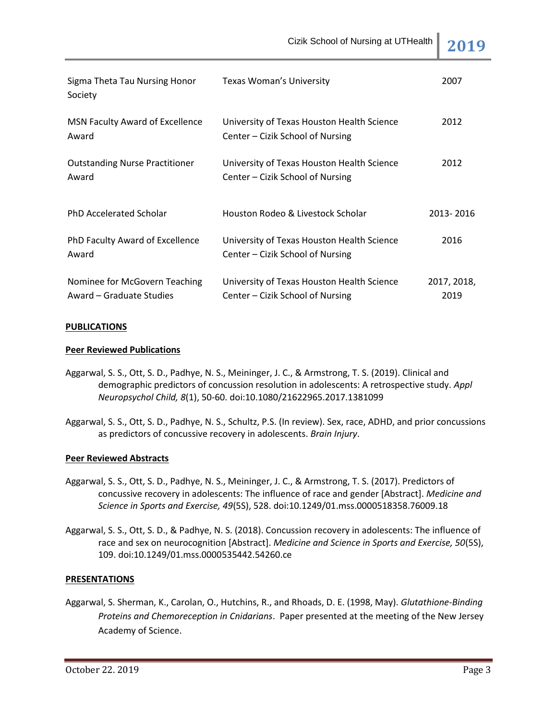| Sigma Theta Tau Nursing Honor<br>Society                  | <b>Texas Woman's University</b>                                                | 2007                |
|-----------------------------------------------------------|--------------------------------------------------------------------------------|---------------------|
| MSN Faculty Award of Excellence<br>Award                  | University of Texas Houston Health Science<br>Center – Cizik School of Nursing | 2012                |
| <b>Outstanding Nurse Practitioner</b><br>Award            | University of Texas Houston Health Science<br>Center – Cizik School of Nursing | 2012                |
| <b>PhD Accelerated Scholar</b>                            | Houston Rodeo & Livestock Scholar                                              | 2013-2016           |
| PhD Faculty Award of Excellence<br>Award                  | University of Texas Houston Health Science<br>Center – Cizik School of Nursing | 2016                |
| Nominee for McGovern Teaching<br>Award – Graduate Studies | University of Texas Houston Health Science<br>Center – Cizik School of Nursing | 2017, 2018,<br>2019 |

#### **PUBLICATIONS**

### **Peer Reviewed Publications**

- Aggarwal, S. S., Ott, S. D., Padhye, N. S., Meininger, J. C., & Armstrong, T. S. (2019). Clinical and demographic predictors of concussion resolution in adolescents: A retrospective study. *Appl Neuropsychol Child, 8*(1), 50-60. doi:10.1080/21622965.2017.1381099
- Aggarwal, S. S., Ott, S. D., Padhye, N. S., Schultz, P.S. (In review). Sex, race, ADHD, and prior concussions as predictors of concussive recovery in adolescents. *Brain Injury*.

#### **Peer Reviewed Abstracts**

- Aggarwal, S. S., Ott, S. D., Padhye, N. S., Meininger, J. C., & Armstrong, T. S. (2017). Predictors of concussive recovery in adolescents: The influence of race and gender [Abstract]. *Medicine and Science in Sports and Exercise, 49*(5S), 528. doi:10.1249/01.mss.0000518358.76009.18
- Aggarwal, S. S., Ott, S. D., & Padhye, N. S. (2018). Concussion recovery in adolescents: The influence of race and sex on neurocognition [Abstract]. *Medicine and Science in Sports and Exercise, 50*(5S), 109. doi:10.1249/01.mss.0000535442.54260.ce

## **PRESENTATIONS**

Aggarwal, S. Sherman, K., Carolan, O., Hutchins, R., and Rhoads, D. E. (1998, May). *Glutathione-Binding Proteins and Chemoreception in Cnidarians*. Paper presented at the meeting of the New Jersey Academy of Science.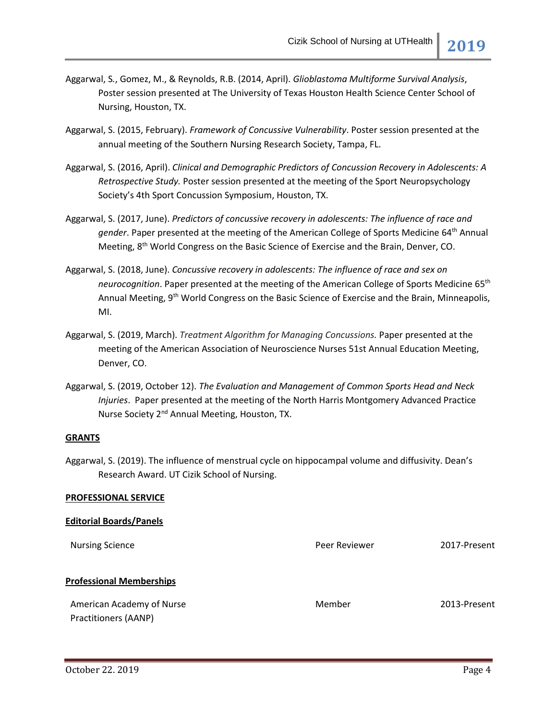- Aggarwal, S*.*, Gomez, M., & Reynolds, R.B. (2014, April). *Glioblastoma Multiforme Survival Analysis*, Poster session presented at The University of Texas Houston Health Science Center School of Nursing, Houston, TX.
- Aggarwal, S. (2015, February). *Framework of Concussive Vulnerability*. Poster session presented at the annual meeting of the Southern Nursing Research Society, Tampa, FL.
- Aggarwal, S. (2016, April). *Clinical and Demographic Predictors of Concussion Recovery in Adolescents: A Retrospective Study.* Poster session presented at the meeting of the Sport Neuropsychology Society's 4th Sport Concussion Symposium, Houston, TX.
- Aggarwal, S. (2017, June). *Predictors of concussive recovery in adolescents: The influence of race and gender*. Paper presented at the meeting of the American College of Sports Medicine 64th Annual Meeting, 8<sup>th</sup> World Congress on the Basic Science of Exercise and the Brain, Denver, CO.
- Aggarwal, S. (2018, June). *Concussive recovery in adolescents: The influence of race and sex on neurocognition*. Paper presented at the meeting of the American College of Sports Medicine 65th Annual Meeting, 9<sup>th</sup> World Congress on the Basic Science of Exercise and the Brain, Minneapolis, MI.
- Aggarwal, S. (2019, March). *Treatment Algorithm for Managing Concussions.* Paper presented at the meeting of the American Association of Neuroscience Nurses 51st Annual Education Meeting, Denver, CO.
- Aggarwal, S. (2019, October 12). *The Evaluation and Management of Common Sports Head and Neck Injuries*. Paper presented at the meeting of the North Harris Montgomery Advanced Practice Nurse Society 2<sup>nd</sup> Annual Meeting, Houston, TX.

## **GRANTS**

**PROFESSIONAL SERVICE**

Aggarwal, S. (2019). The influence of menstrual cycle on hippocampal volume and diffusivity. Dean's Research Award. UT Cizik School of Nursing.

| <b>Editorial Boards/Panels</b>                    |               |              |
|---------------------------------------------------|---------------|--------------|
| <b>Nursing Science</b>                            | Peer Reviewer | 2017-Present |
| <b>Professional Memberships</b>                   |               |              |
| American Academy of Nurse<br>Practitioners (AANP) | Member        | 2013-Present |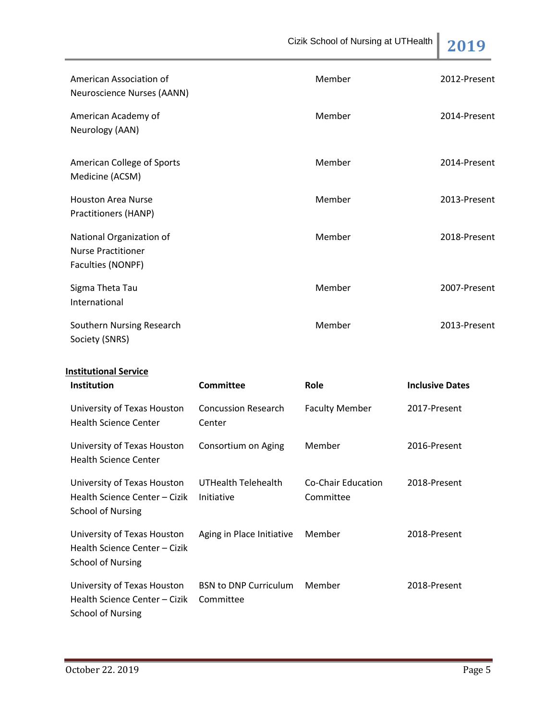Cizik School of Nursing at UTHealth **2019** American Association of Neuroscience Nurses (AANN) Member 2012-Present American Academy of Neurology (AAN) Member 2014-Present American College of Sports Medicine (ACSM) Member 2014-Present Houston Area Nurse Practitioners (HANP) Member 2013-Present National Organization of Nurse Practitioner Faculties (NONPF) Member 2018-Present Sigma Theta Tau International Member 2007-Present Southern Nursing Research Society (SNRS) Member 2013-Present **Institutional Service Institution Committee Role Inclusive Dates** University of Texas Houston Health Science Center Concussion Research Center Faculty Member 2017-Present University of Texas Houston Health Science Center Consortium on Aging Member 2016-Present

| University of Texas Houston<br>Health Science Center – Cizik<br>School of Nursing        | UTHealth Telehealth<br>Initiative         | Co-Chair Education<br>Committee | 2018-Present |
|------------------------------------------------------------------------------------------|-------------------------------------------|---------------------------------|--------------|
| University of Texas Houston<br>Health Science Center – Cizik<br><b>School of Nursing</b> | Aging in Place Initiative                 | Member                          | 2018-Present |
| University of Texas Houston<br>Health Science Center – Cizik<br>School of Nursing        | <b>BSN to DNP Curriculum</b><br>Committee | Member                          | 2018-Present |